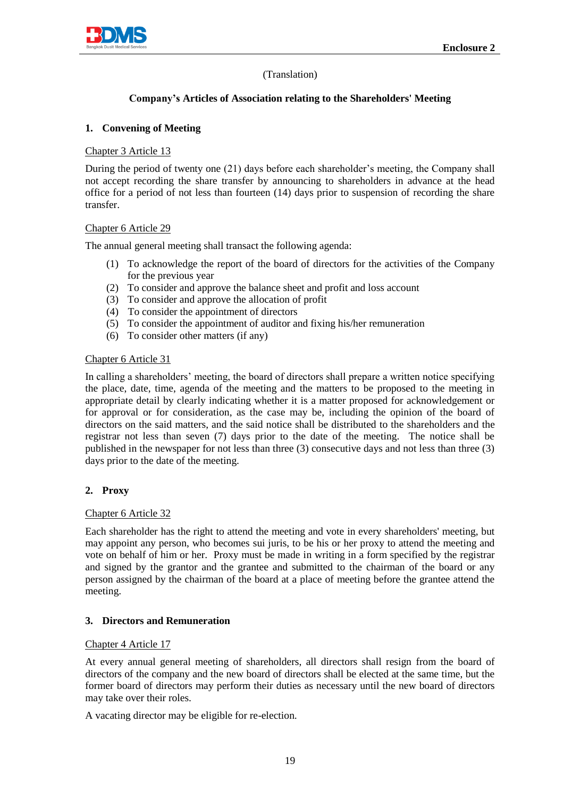

# (Translation)

# **Company's Articles of Association relating to the Shareholders' Meeting**

# **1. Convening of Meeting**

## Chapter 3 Article 13

During the period of twenty one (21) days before each shareholder's meeting, the Company shall not accept recording the share transfer by announcing to shareholders in advance at the head office for a period of not less than fourteen (14) days prior to suspension of recording the share transfer.

### Chapter 6 Article 29

The annual general meeting shall transact the following agenda:

- (1) To acknowledge the report of the board of directors for the activities of the Company for the previous year
- (2) To consider and approve the balance sheet and profit and loss account
- (3) To consider and approve the allocation of profit
- (4) To consider the appointment of directors
- (5) To consider the appointment of auditor and fixing his/her remuneration
- (6) To consider other matters (if any)

### Chapter 6 Article 31

In calling a shareholders' meeting, the board of directors shall prepare a written notice specifying the place, date, time, agenda of the meeting and the matters to be proposed to the meeting in appropriate detail by clearly indicating whether it is a matter proposed for acknowledgement or for approval or for consideration, as the case may be, including the opinion of the board of directors on the said matters, and the said notice shall be distributed to the shareholders and the registrar not less than seven (7) days prior to the date of the meeting. The notice shall be published in the newspaper for not less than three (3) consecutive days and not less than three (3) days prior to the date of the meeting.

### **2. Proxy**

### Chapter 6 Article 32

Each shareholder has the right to attend the meeting and vote in every shareholders' meeting, but may appoint any person, who becomes sui juris, to be his or her proxy to attend the meeting and vote on behalf of him or her. Proxy must be made in writing in a form specified by the registrar and signed by the grantor and the grantee and submitted to the chairman of the board or any person assigned by the chairman of the board at a place of meeting before the grantee attend the meeting.

# **3. Directors and Remuneration**

### Chapter 4 Article 17

At every annual general meeting of shareholders, all directors shall resign from the board of directors of the company and the new board of directors shall be elected at the same time, but the former board of directors may perform their duties as necessary until the new board of directors may take over their roles.

A vacating director may be eligible for re-election.